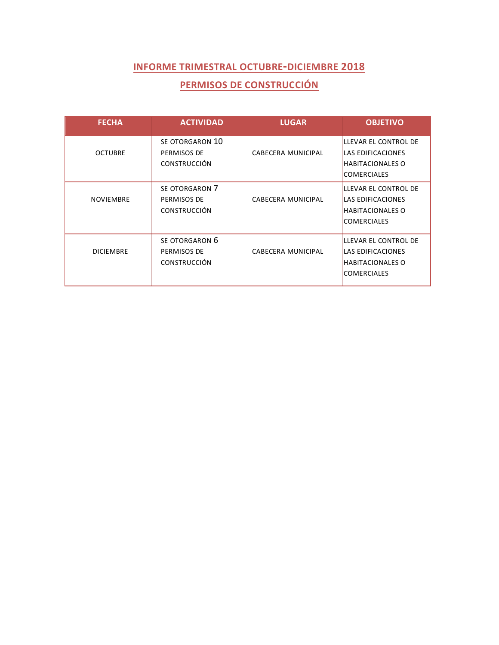## **PERMISOS DE CONSTRUCCIÓN**

| <b>FECHA</b>     | <b>ACTIVIDAD</b>                                      | <b>LUGAR</b>              | <b>OBJETIVO</b>                                                                            |
|------------------|-------------------------------------------------------|---------------------------|--------------------------------------------------------------------------------------------|
| <b>OCTUBRE</b>   | SE OTORGARON 10<br>PERMISOS DE<br><b>CONSTRUCCIÓN</b> | CABECERA MUNICIPAL        | LLEVAR EL CONTROL DE<br>LAS EDIFICACIONES<br><b>HABITACIONALES O</b><br><b>COMERCIALES</b> |
| <b>NOVIEMBRE</b> | SE OTORGARON 7<br>PERMISOS DE<br><b>CONSTRUCCIÓN</b>  | <b>CABECERA MUNICIPAL</b> | LLEVAR EL CONTROL DE<br>LAS EDIFICACIONES<br><b>HABITACIONALES O</b><br><b>COMERCIALES</b> |
| <b>DICIEMBRE</b> | SE OTORGARON 6<br>PERMISOS DE<br><b>CONSTRUCCIÓN</b>  | CABECERA MUNICIPAL        | LLEVAR EL CONTROL DE<br>LAS EDIFICACIONES<br><b>HABITACIONALES O</b><br><b>COMERCIALES</b> |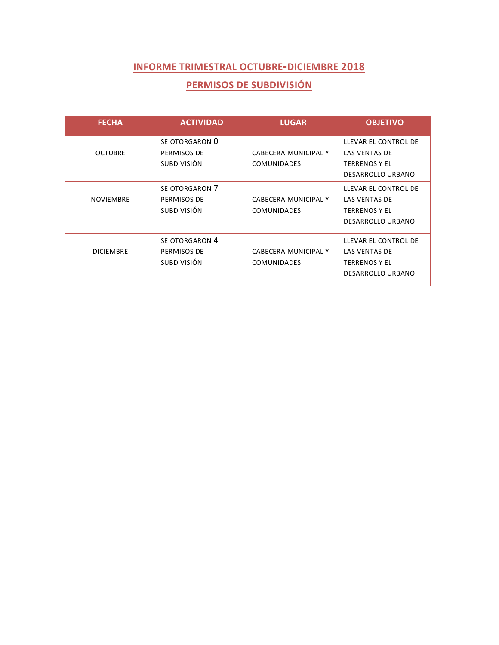## **PERMISOS DE SUBDIVISIÓN**

| <b>FECHA</b>     | <b>ACTIVIDAD</b>   | <b>LUGAR</b>         | <b>OBJETIVO</b>          |
|------------------|--------------------|----------------------|--------------------------|
|                  | SE OTORGARON 0     |                      | LLEVAR EL CONTROL DE     |
| <b>OCTUBRE</b>   | PERMISOS DE        | CABECERA MUNICIPAL Y | <b>LAS VENTAS DE</b>     |
|                  | <b>SUBDIVISIÓN</b> | <b>COMUNIDADES</b>   | <b>TERRENOS Y EL</b>     |
|                  |                    |                      | DESARROLLO URBANO        |
|                  | SE OTORGARON 7     |                      | LLEVAR EL CONTROL DE     |
| <b>NOVIEMBRE</b> | PERMISOS DE        | CABECERA MUNICIPAL Y | <b>LAS VENTAS DE</b>     |
|                  | SUBDIVISIÓN        | <b>COMUNIDADES</b>   | TERRENOS Y EL            |
|                  |                    |                      | <b>DESARROLLO URBANO</b> |
|                  | SE OTORGARON 4     |                      | LLEVAR EL CONTROL DE     |
| <b>DICIEMBRE</b> | PERMISOS DE        | CABECERA MUNICIPAL Y | LAS VENTAS DE            |
|                  | <b>SUBDIVISIÓN</b> | <b>COMUNIDADES</b>   | <b>TERRENOS Y EL</b>     |
|                  |                    |                      | DESARROLLO URBANO        |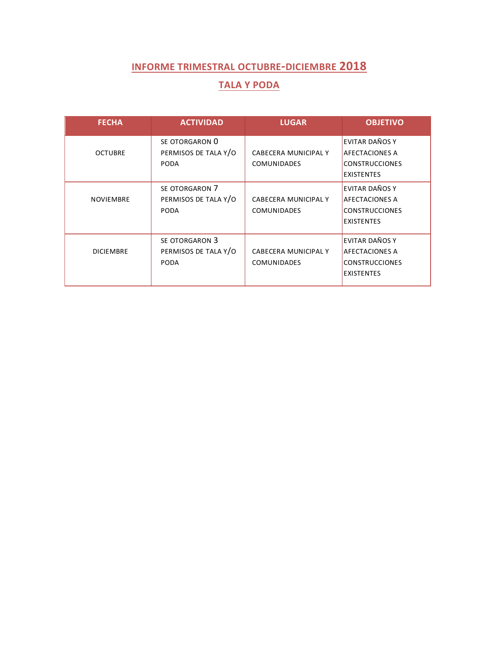### **TALA Y PODA**

| <b>FECHA</b>     | <b>ACTIVIDAD</b>                                      | <b>LUGAR</b>                                      | <b>OBJETIVO</b>                                                                       |
|------------------|-------------------------------------------------------|---------------------------------------------------|---------------------------------------------------------------------------------------|
| <b>OCTUBRE</b>   | SE OTORGARON 0<br>PERMISOS DE TALA Y/O<br><b>PODA</b> | <b>CABECERA MUNICIPAL Y</b><br><b>COMUNIDADES</b> | EVITAR DAÑOS Y<br><b>AFECTACIONES A</b><br><b>CONSTRUCCIONES</b><br><b>EXISTENTES</b> |
| <b>NOVIEMBRE</b> | SE OTORGARON 7<br>PERMISOS DE TALA Y/O<br>PODA        | CABECERA MUNICIPAL Y<br><b>COMUNIDADES</b>        | EVITAR DAÑOS Y<br><b>AFECTACIONES A</b><br><b>CONSTRUCCIONES</b><br><b>EXISTENTES</b> |
| <b>DICIEMBRE</b> | SE OTORGARON 3<br>PERMISOS DE TALA Y/O<br><b>PODA</b> | <b>CABECERA MUNICIPAL Y</b><br><b>COMUNIDADES</b> | EVITAR DAÑOS Y<br><b>AFECTACIONES A</b><br><b>CONSTRUCCIONES</b><br><b>EXISTENTES</b> |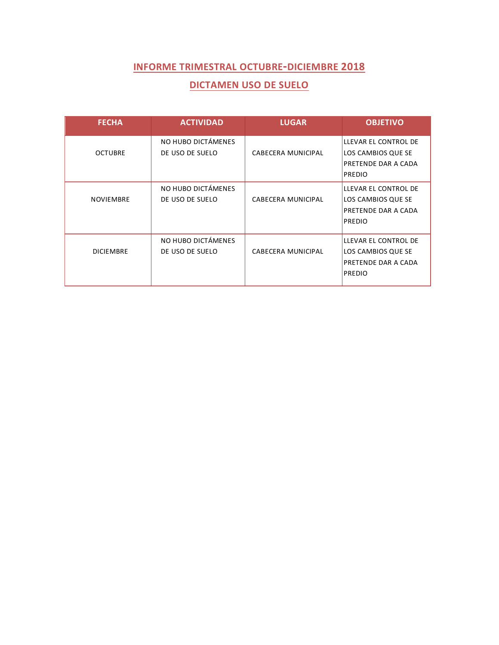### **DICTAMEN USO DE SUELO**

| <b>FECHA</b>     | <b>ACTIVIDAD</b>   | <b>LUGAR</b>       | <b>OBJETIVO</b>            |
|------------------|--------------------|--------------------|----------------------------|
|                  | NO HUBO DICTÁMENES |                    | LLEVAR EL CONTROL DE       |
| <b>OCTUBRE</b>   | DE USO DE SUELO    | CABECERA MUNICIPAL | LOS CAMBIOS QUE SE         |
|                  |                    |                    | PRETENDE DAR A CADA        |
|                  |                    |                    | <b>PREDIO</b>              |
|                  | NO HUBO DICTÁMENES |                    | LLEVAR EL CONTROL DE       |
| <b>NOVIEMBRE</b> | DE USO DE SUELO    | CABECERA MUNICIPAL | LOS CAMBIOS QUE SE         |
|                  |                    |                    | <b>PRETENDE DAR A CADA</b> |
|                  |                    |                    | <b>PREDIO</b>              |
|                  |                    |                    |                            |
|                  | NO HUBO DICTÁMENES |                    | LLEVAR EL CONTROL DE       |
| <b>DICIEMBRE</b> | DE USO DE SUELO    | CABECERA MUNICIPAL | LOS CAMBIOS QUE SE         |
|                  |                    |                    | PRETENDE DAR A CADA        |
|                  |                    |                    | <b>PREDIO</b>              |
|                  |                    |                    |                            |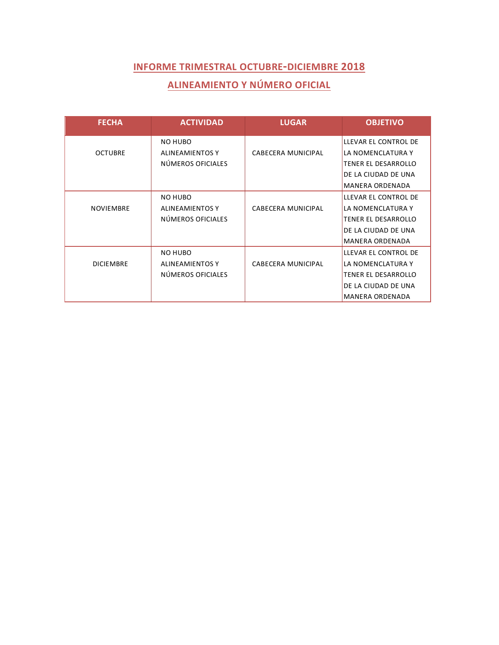# **ALINEAMIENTO Y NÚMERO OFICIAL**

| <b>FECHA</b>     | <b>ACTIVIDAD</b>       | <b>LUGAR</b>              | <b>OBJETIVO</b>        |
|------------------|------------------------|---------------------------|------------------------|
|                  | NO HUBO                |                           | LLEVAR EL CONTROL DE   |
| <b>OCTUBRE</b>   | <b>ALINEAMIENTOS Y</b> | CABECERA MUNICIPAL        | LA NOMENCLATURA Y      |
|                  | NÚMEROS OFICIALES      |                           | TENER EL DESARROLLO    |
|                  |                        |                           | DE LA CIUDAD DE UNA    |
|                  |                        |                           | <b>MANERA ORDENADA</b> |
|                  | NO HUBO                |                           | LLEVAR EL CONTROL DE   |
| <b>NOVIEMBRE</b> | <b>ALINEAMIENTOS Y</b> | <b>CABECERA MUNICIPAL</b> | LA NOMENCLATURA Y      |
|                  | NÚMEROS OFICIALES      |                           | TENER EL DESARROLLO    |
|                  |                        |                           | DE LA CIUDAD DE UNA    |
|                  |                        |                           | <b>MANERA ORDENADA</b> |
|                  | NO HUBO                |                           | LLEVAR EL CONTROL DE   |
| <b>DICIEMBRE</b> | <b>ALINEAMIENTOS Y</b> | CABECERA MUNICIPAL        | LA NOMENCLATURA Y      |
|                  | NÚMEROS OFICIALES      |                           | TENER EL DESARROLLO    |
|                  |                        |                           | DE LA CIUDAD DE UNA    |
|                  |                        |                           | <b>MANERA ORDENADA</b> |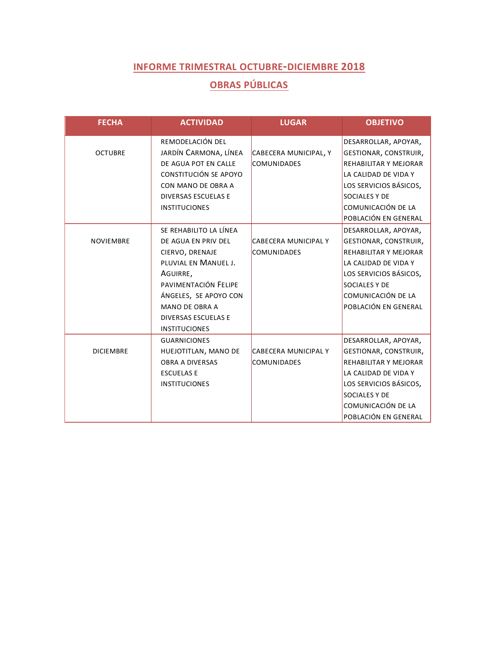# **OBRAS PÚBLICAS**

| <b>FECHA</b>     | <b>ACTIVIDAD</b>           | <b>LUGAR</b>                | <b>OBJETIVO</b>        |
|------------------|----------------------------|-----------------------------|------------------------|
|                  | REMODELACIÓN DEL           |                             | DESARROLLAR, APOYAR,   |
| <b>OCTUBRE</b>   | JARDÍN CARMONA, LÍNEA      | CABECERA MUNICIPAL, Y       | GESTIONAR, CONSTRUIR,  |
|                  | DE AGUA POT EN CALLE       | <b>COMUNIDADES</b>          | REHABILITAR Y MEJORAR  |
|                  | CONSTITUCIÓN SE APOYO      |                             | LA CALIDAD DE VIDA Y   |
|                  | CON MANO DE OBRA A         |                             | LOS SERVICIOS BÁSICOS, |
|                  | <b>DIVERSAS ESCUELAS E</b> |                             | <b>SOCIALES Y DE</b>   |
|                  | <b>INSTITUCIONES</b>       |                             | COMUNICACIÓN DE LA     |
|                  |                            |                             | POBLACIÓN EN GENERAL   |
|                  | SE REHABILITO LA LÍNEA     |                             | DESARROLLAR, APOYAR,   |
| <b>NOVIEMBRE</b> | DE AGUA EN PRIV DEL        | <b>CABECERA MUNICIPAL Y</b> | GESTIONAR, CONSTRUIR,  |
|                  | CIERVO, DRENAJE            | <b>COMUNIDADES</b>          | REHABILITAR Y MEJORAR  |
|                  | PLUVIAL EN MANUEL J.       |                             | LA CALIDAD DE VIDA Y   |
|                  | AGUIRRE,                   |                             | LOS SERVICIOS BÁSICOS, |
|                  | PAVIMENTACIÓN FELIPE       |                             | SOCIALES Y DE          |
|                  | ÁNGELES, SE APOYO CON      |                             | COMUNICACIÓN DE LA     |
|                  | MANO DE OBRA A             |                             | POBLACIÓN EN GENERAL   |
|                  | <b>DIVERSAS ESCUELAS E</b> |                             |                        |
|                  | <b>INSTITUCIONES</b>       |                             |                        |
|                  | <b>GUARNICIONES</b>        |                             | DESARROLLAR, APOYAR,   |
| <b>DICIEMBRE</b> | HUEJOTITLAN, MANO DE       | <b>CABECERA MUNICIPAL Y</b> | GESTIONAR, CONSTRUIR,  |
|                  | <b>OBRA A DIVERSAS</b>     | <b>COMUNIDADES</b>          | REHABILITAR Y MEJORAR  |
|                  | <b>ESCUELAS E</b>          |                             | LA CALIDAD DE VIDA Y   |
|                  | <b>INSTITUCIONES</b>       |                             | LOS SERVICIOS BÁSICOS, |
|                  |                            |                             | <b>SOCIALES Y DE</b>   |
|                  |                            |                             | COMUNICACIÓN DE LA     |
|                  |                            |                             | POBLACIÓN EN GENERAL   |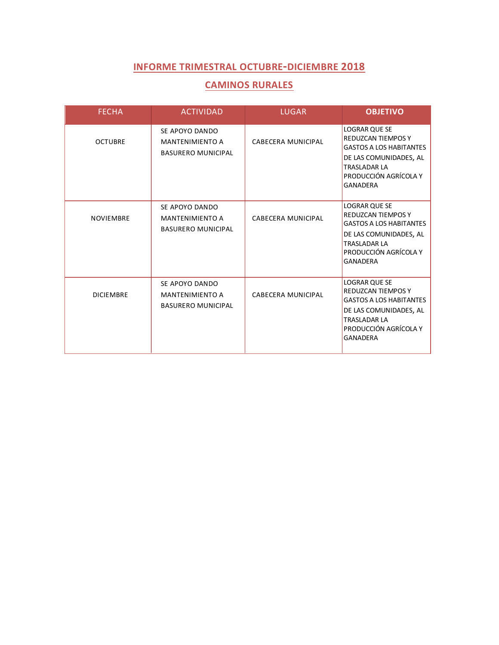#### **CAMINOS RURALES**

| <b>FECHA</b>     | <b>ACTIVIDAD</b>                                                      | <b>LUGAR</b>              | <b>OBJETIVO</b>                                                                                                                                                                  |
|------------------|-----------------------------------------------------------------------|---------------------------|----------------------------------------------------------------------------------------------------------------------------------------------------------------------------------|
| <b>OCTUBRE</b>   | SE APOYO DANDO<br><b>MANTENIMIENTO A</b><br><b>BASURERO MUNICIPAL</b> | <b>CABECERA MUNICIPAL</b> | <b>LOGRAR QUE SE</b><br><b>REDUZCAN TIEMPOS Y</b><br><b>GASTOS A LOS HABITANTES</b><br>DE LAS COMUNIDADES, AL<br><b>TRASLADAR LA</b><br>PRODUCCIÓN AGRÍCOLA Y<br><b>GANADERA</b> |
| <b>NOVIEMBRE</b> | SE APOYO DANDO<br><b>MANTENIMIENTO A</b><br><b>BASURERO MUNICIPAL</b> | CABECERA MUNICIPAL        | <b>LOGRAR QUE SE</b><br><b>REDUZCAN TIEMPOS Y</b><br><b>GASTOS A LOS HABITANTES</b><br>DE LAS COMUNIDADES, AL<br><b>TRASLADAR LA</b><br>PRODUCCIÓN AGRÍCOLA Y<br><b>GANADERA</b> |
| <b>DICIEMBRE</b> | SE APOYO DANDO<br><b>MANTENIMIENTO A</b><br><b>BASURERO MUNICIPAL</b> | <b>CABECERA MUNICIPAL</b> | <b>LOGRAR QUE SE</b><br>REDUZCAN TIEMPOS Y<br><b>GASTOS A LOS HABITANTES</b><br>DE LAS COMUNIDADES, AL<br><b>TRASLADAR LA</b><br>PRODUCCIÓN AGRÍCOLA Y<br><b>GANADERA</b>        |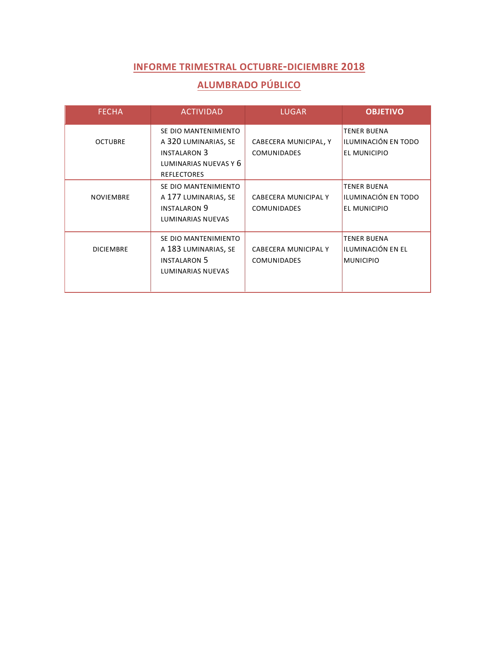# **ALUMBRADO PÚBLICO**

| <b>FECHA</b>     | <b>ACTIVIDAD</b>                                                                                                   | <b>LUGAR</b>                                      | <b>OBJETIVO</b>                                             |
|------------------|--------------------------------------------------------------------------------------------------------------------|---------------------------------------------------|-------------------------------------------------------------|
| <b>OCTUBRE</b>   | SE DIO MANTENIMIENTO<br>A 320 LUMINARIAS, SE<br><b>INSTALARON 3</b><br>LUMINARIAS NUEVAS Y 6<br><b>REFLECTORES</b> | CABECERA MUNICIPAL, Y<br><b>COMUNIDADES</b>       | <b>TENER BUENA</b><br>ILUMINACIÓN EN TODO<br>EL MUNICIPIO   |
| <b>NOVIEMBRE</b> | SE DIO MANTENIMIENTO<br>A 177 LUMINARIAS, SE<br><b>INSTALARON 9</b><br>LUMINARIAS NUEVAS                           | <b>CABECERA MUNICIPAL Y</b><br><b>COMUNIDADES</b> | <b>TENER BUENA</b><br>ILUMINACIÓN EN TODO<br>EL MUNICIPIO   |
| <b>DICIEMBRE</b> | SE DIO MANTENIMIENTO<br>A 183 LUMINARIAS, SE<br><b>INSTALARON 5</b><br><b>LUMINARIAS NUEVAS</b>                    | CABECERA MUNICIPAL Y<br><b>COMUNIDADES</b>        | <b>TENER BUENA</b><br>ILUMINACIÓN EN EL<br><b>MUNICIPIO</b> |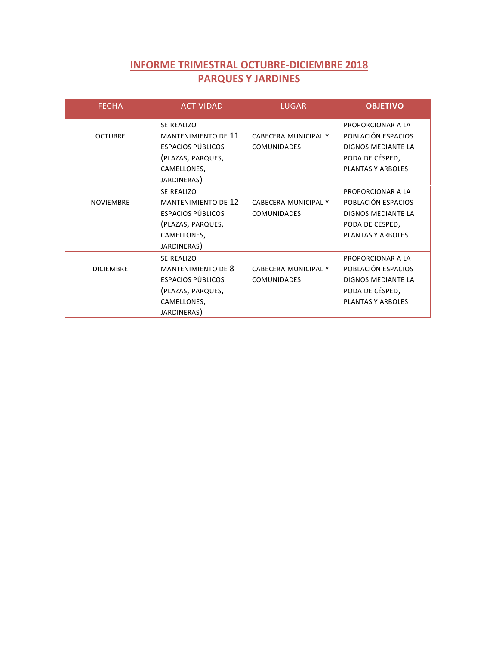## **INFORME TRIMESTRAL OCTUBRE-DICIEMBRE 2018 PARQUES Y JARDINES**

| <b>FECHA</b>     | <b>ACTIVIDAD</b>                                                                                                               | <b>LUGAR</b>                                      | <b>OBJETIVO</b>                                                                                                            |
|------------------|--------------------------------------------------------------------------------------------------------------------------------|---------------------------------------------------|----------------------------------------------------------------------------------------------------------------------------|
| <b>OCTUBRE</b>   | SE REALIZO<br><b>MANTENIMIENTO DE 11</b><br><b>ESPACIOS PÚBLICOS</b><br>(PLAZAS, PARQUES,<br>CAMELLONES,<br>JARDINERAS)        | <b>CABECERA MUNICIPAL Y</b><br><b>COMUNIDADES</b> | <b>PROPORCIONAR A LA</b><br>POBLACIÓN ESPACIOS<br><b>DIGNOS MEDIANTE LA</b><br>PODA DE CÉSPED,<br><b>PLANTAS Y ARBOLES</b> |
| <b>NOVIEMBRE</b> | <b>SE REALIZO</b><br><b>MANTENIMIENTO DE 12</b><br><b>ESPACIOS PÚBLICOS</b><br>(PLAZAS, PARQUES,<br>CAMELLONES,<br>JARDINERAS) | CABECERA MUNICIPAL Y<br><b>COMUNIDADES</b>        | <b>PROPORCIONAR A LA</b><br>POBLACIÓN ESPACIOS<br>DIGNOS MEDIANTE LA<br>PODA DE CÉSPED,<br><b>PLANTAS Y ARBOLES</b>        |
| <b>DICIEMBRE</b> | SE REALIZO<br><b>MANTENIMIENTO DE 8</b><br>ESPACIOS PÚBLICOS<br>(PLAZAS, PARQUES,<br>CAMELLONES,<br>JARDINERAS)                | CABECERA MUNICIPAL Y<br><b>COMUNIDADES</b>        | <b>PROPORCIONAR A LA</b><br>POBLACIÓN ESPACIOS<br>DIGNOS MEDIANTE LA<br>PODA DE CÉSPED,<br>PLANTAS Y ARBOLES               |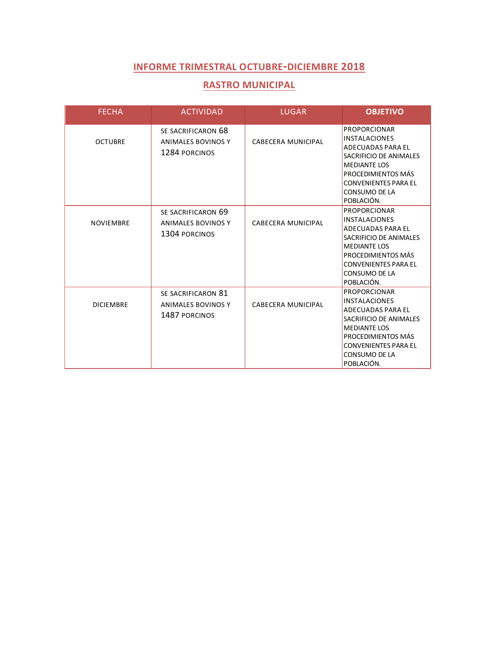#### **RASTRO MUNICIPAL**

| <b>FECHA</b>     | <b>ACTIVIDAD</b>                                                 | <b>LUGAR</b>       | <b>OBJETIVO</b>                                                                                                                                                                                              |
|------------------|------------------------------------------------------------------|--------------------|--------------------------------------------------------------------------------------------------------------------------------------------------------------------------------------------------------------|
| <b>OCTUBRE</b>   | SE SACRIFICARON 68<br><b>ANIMALES BOVINOS Y</b><br>1284 PORCINOS | CABECERA MUNICIPAL | <b>PROPORCIONAR</b><br><b>INSTALACIONES</b><br>ADECUADAS PARA EL<br>SACRIFICIO DE ANIMALES<br><b>MEDIANTE LOS</b><br>PROCEDIMIENTOS MÁS<br><b>CONVENIENTES PARA EL</b><br>CONSUMO DE LA<br>POBLACIÓN.        |
| <b>NOVIEMBRE</b> | SE SACRIFICARON 69<br>ANIMALES BOVINOS Y<br>1304 PORCINOS        | CABECERA MUNICIPAL | <b>PROPORCIONAR</b><br><b>INSTALACIONES</b><br>ADECUADAS PARA EL<br>SACRIFICIO DE ANIMALES<br><b>MEDIANTE LOS</b><br>PROCEDIMIENTOS MÁS<br><b>CONVENIENTES PARA EL</b><br>CONSUMO DE LA<br>POBLACIÓN.        |
| <b>DICIEMBRE</b> | SE SACRIFICARON 81<br><b>ANIMALES BOVINOS Y</b><br>1487 PORCINOS | CABECERA MUNICIPAL | <b>PROPORCIONAR</b><br><b>INSTALACIONES</b><br><b>ADECUADAS PARA EL</b><br>SACRIFICIO DE ANIMALES<br><b>MEDIANTE LOS</b><br>PROCEDIMIENTOS MÁS<br><b>CONVENIENTES PARA EL</b><br>CONSUMO DE LA<br>POBLACIÓN. |